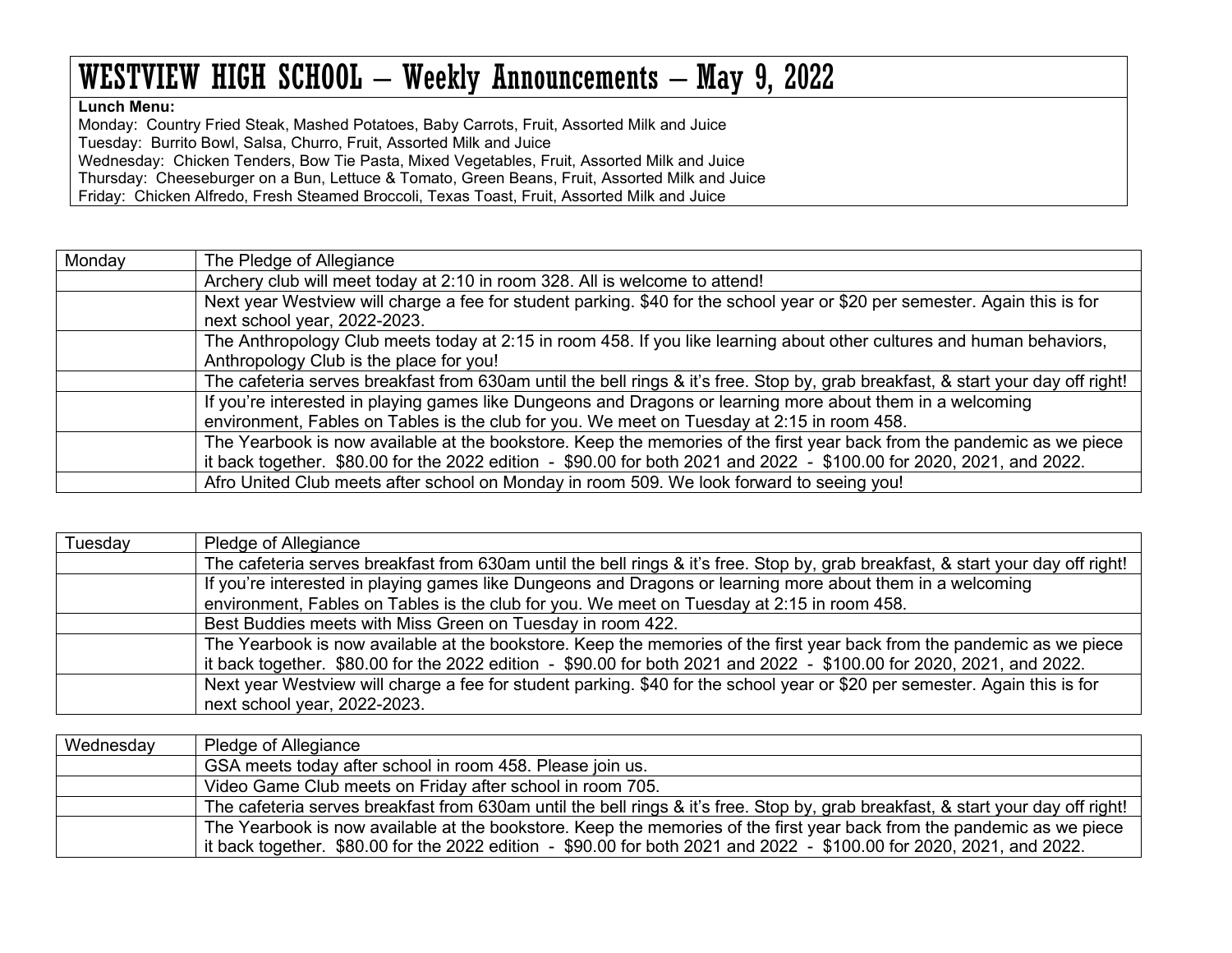## WESTVIEW HIGH SCHOOL - Weekly Announcements - May 9, 2022

## **Lunch Menu:**

Monday: Country Fried Steak, Mashed Potatoes, Baby Carrots, Fruit, Assorted Milk and Juice Tuesday: Burrito Bowl, Salsa, Churro, Fruit, Assorted Milk and Juice Wednesday: Chicken Tenders, Bow Tie Pasta, Mixed Vegetables, Fruit, Assorted Milk and Juice Thursday: Cheeseburger on a Bun, Lettuce & Tomato, Green Beans, Fruit, Assorted Milk and Juice Friday: Chicken Alfredo, Fresh Steamed Broccoli, Texas Toast, Fruit, Assorted Milk and Juice

| Monday | The Pledge of Allegiance                                                                                                                                                                                                                       |
|--------|------------------------------------------------------------------------------------------------------------------------------------------------------------------------------------------------------------------------------------------------|
|        | Archery club will meet today at 2:10 in room 328. All is welcome to attend!                                                                                                                                                                    |
|        | Next year Westview will charge a fee for student parking. \$40 for the school year or \$20 per semester. Again this is for<br>next school year, 2022-2023.                                                                                     |
|        | The Anthropology Club meets today at 2:15 in room 458. If you like learning about other cultures and human behaviors,<br>Anthropology Club is the place for you!                                                                               |
|        | The cafeteria serves breakfast from 630am until the bell rings & it's free. Stop by, grab breakfast, & start your day off right!                                                                                                               |
|        | If you're interested in playing games like Dungeons and Dragons or learning more about them in a welcoming<br>environment, Fables on Tables is the club for you. We meet on Tuesday at 2:15 in room 458.                                       |
|        | The Yearbook is now available at the bookstore. Keep the memories of the first year back from the pandemic as we piece<br>it back together. \$80.00 for the 2022 edition - \$90.00 for both 2021 and 2022 - \$100.00 for 2020, 2021, and 2022. |
|        | Afro United Club meets after school on Monday in room 509. We look forward to seeing you!                                                                                                                                                      |

| Tuesday | Pledge of Allegiance                                                                                                             |
|---------|----------------------------------------------------------------------------------------------------------------------------------|
|         | The cafeteria serves breakfast from 630am until the bell rings & it's free. Stop by, grab breakfast, & start your day off right! |
|         | If you're interested in playing games like Dungeons and Dragons or learning more about them in a welcoming                       |
|         | environment, Fables on Tables is the club for you. We meet on Tuesday at 2:15 in room 458.                                       |
|         | Best Buddies meets with Miss Green on Tuesday in room 422.                                                                       |
|         | The Yearbook is now available at the bookstore. Keep the memories of the first year back from the pandemic as we piece           |
|         | it back together. \$80.00 for the 2022 edition - \$90.00 for both 2021 and 2022 - \$100.00 for 2020, 2021, and 2022.             |
|         | Next year Westview will charge a fee for student parking. \$40 for the school year or \$20 per semester. Again this is for       |
|         | next school year, 2022-2023.                                                                                                     |

| Wednesday | Pledge of Allegiance                                                                                                             |
|-----------|----------------------------------------------------------------------------------------------------------------------------------|
|           | GSA meets today after school in room 458. Please join us.                                                                        |
|           | Video Game Club meets on Friday after school in room 705.                                                                        |
|           | The cafeteria serves breakfast from 630am until the bell rings & it's free. Stop by, grab breakfast, & start your day off right! |
|           | The Yearbook is now available at the bookstore. Keep the memories of the first year back from the pandemic as we piece           |
|           | it back together. \$80.00 for the 2022 edition - \$90.00 for both 2021 and 2022 - \$100.00 for 2020, 2021, and 2022.             |